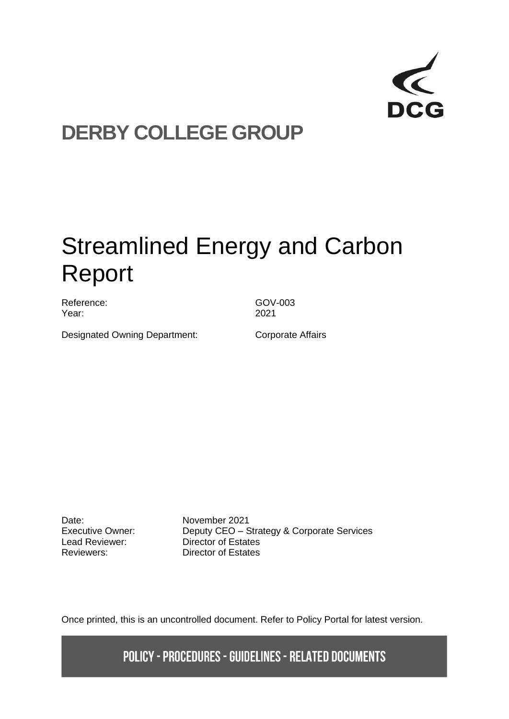

## **DERBY COLLEGE GROUP**

# Streamlined Energy and Carbon Report

Reference: GOV-003 Year: 2021

Designated Owning Department: Corporate Affairs

Date: **November 2021**<br>Executive Owner: **Deputy CEO** - S

Deputy CEO – Strategy & Corporate Services Lead Reviewer: Director of Estates Reviewers: Director of Estates

Once printed, this is an uncontrolled document. Refer to Policy Portal for latest version.

**POLICY - PROCEDURES - GUIDELINES - RELATED DOCUMENTS**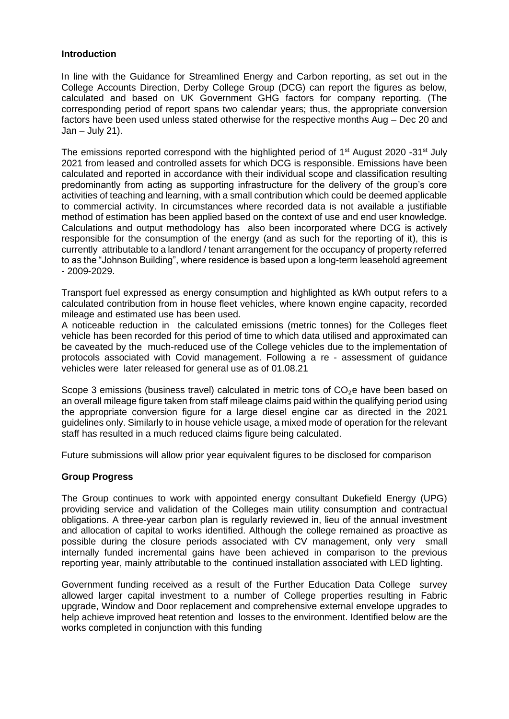#### **Introduction**

In line with the Guidance for Streamlined Energy and Carbon reporting, as set out in the College Accounts Direction, Derby College Group (DCG) can report the figures as below, calculated and based on UK Government GHG factors for company reporting. (The corresponding period of report spans two calendar years; thus, the appropriate conversion factors have been used unless stated otherwise for the respective months Aug – Dec 20 and  $Jan - July 21$ ).

The emissions reported correspond with the highlighted period of 1<sup>st</sup> August 2020 -31<sup>st</sup> July 2021 from leased and controlled assets for which DCG is responsible. Emissions have been calculated and reported in accordance with their individual scope and classification resulting predominantly from acting as supporting infrastructure for the delivery of the group's core activities of teaching and learning, with a small contribution which could be deemed applicable to commercial activity. In circumstances where recorded data is not available a justifiable method of estimation has been applied based on the context of use and end user knowledge. Calculations and output methodology has also been incorporated where DCG is actively responsible for the consumption of the energy (and as such for the reporting of it), this is currently attributable to a landlord / tenant arrangement for the occupancy of property referred to as the "Johnson Building", where residence is based upon a long-term leasehold agreement - 2009-2029.

Transport fuel expressed as energy consumption and highlighted as kWh output refers to a calculated contribution from in house fleet vehicles, where known engine capacity, recorded mileage and estimated use has been used.

A noticeable reduction in the calculated emissions (metric tonnes) for the Colleges fleet vehicle has been recorded for this period of time to which data utilised and approximated can be caveated by the much-reduced use of the College vehicles due to the implementation of protocols associated with Covid management. Following a re - assessment of guidance vehicles were later released for general use as of 01.08.21

Scope 3 emissions (business travel) calculated in metric tons of  $CO<sub>2</sub>e$  have been based on an overall mileage figure taken from staff mileage claims paid within the qualifying period using the appropriate conversion figure for a large diesel engine car as directed in the 2021 guidelines only. Similarly to in house vehicle usage, a mixed mode of operation for the relevant staff has resulted in a much reduced claims figure being calculated.

Future submissions will allow prior year equivalent figures to be disclosed for comparison

#### **Group Progress**

The Group continues to work with appointed energy consultant Dukefield Energy (UPG) providing service and validation of the Colleges main utility consumption and contractual obligations. A three-year carbon plan is regularly reviewed in, lieu of the annual investment and allocation of capital to works identified. Although the college remained as proactive as possible during the closure periods associated with CV management, only very small internally funded incremental gains have been achieved in comparison to the previous reporting year, mainly attributable to the continued installation associated with LED lighting.

Government funding received as a result of the Further Education Data College survey allowed larger capital investment to a number of College properties resulting in Fabric upgrade, Window and Door replacement and comprehensive external envelope upgrades to help achieve improved heat retention and losses to the environment. Identified below are the works completed in conjunction with this funding